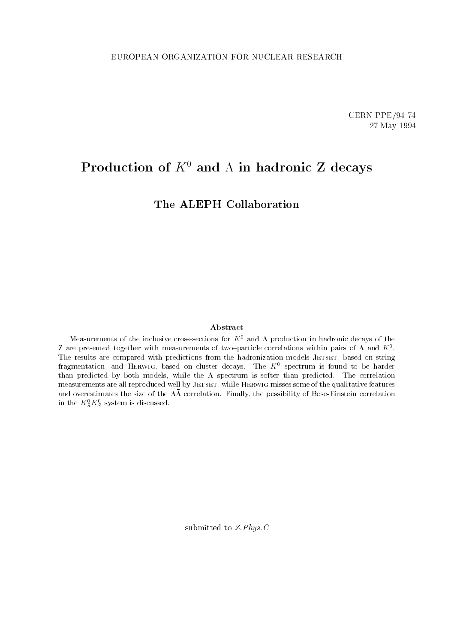CERN-PPE/94-74 27 May 1994

# Production of  $K^0$  and  $\Lambda$  in hadronic Z decays

The ALEPH Collaboration

#### Abstract

Measurements of the inclusive cross-sections for  $K^0$  and  $\Lambda$  production in hadronic decays of the  $L$  are presented together with measurements of two-particle correlations within pairs of  $\Lambda$  and  $K^+$ . The results are compared with predictions from the hadronization models JETSET, based on string fragmentation, and HERWIG, based on cluster decays. The  $K^0$  spectrum is found to be harder than predicted by both models, while the  $\Lambda$  spectrum is softer than predicted. The correlation measurements are all reproduced well by JETSET, while HERWIG misses some of the qualitative features and overestimates the size of the  $\Lambda\Lambda$  correlation. Finally, the possibility of Bose-Einstein correlation in the  $\kappa_{\tilde{S}}\,\kappa_{\tilde{S}}$  system is discussed.

submitted to Z.Phys.C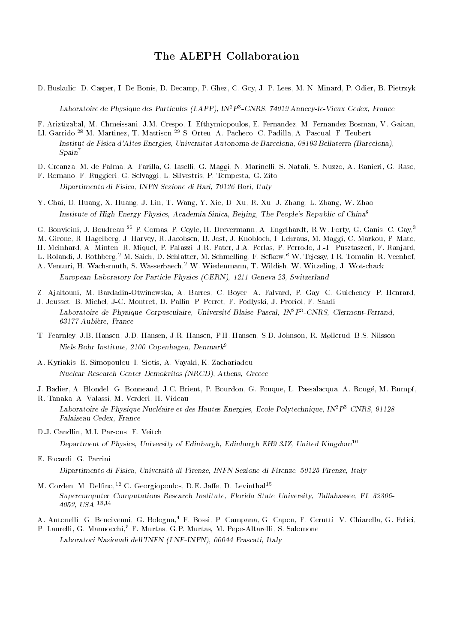### The ALEPH Collaboration

D. Buskulic, D. Casper, I. De Bonis, D. Decamp, P. Ghez, C. Goy, J.-P. Lees, M.-N. Minard, P. Odier, B. Pietrzyk

Laboratoire de Physique des Particules (LAPP), IN2P3 -CNRS, 74019 Annecy-le-Vieux Cedex, France

F. Ariztizabal, M. Chmeissani, J.M. Crespo, I. Efthymiopoulos, E. Fernandez, M. Fernandez-Bosman, V. Gaitan,

- Ll. Garrido,<sup>28</sup> M. Martinez, T. Mattison,<sup>29</sup> S. Orteu, A. Pacheco, C. Padilla, A. Pascual, F. Teubert Institut de Fisica d'Altes Energies, Universitat Autonoma de Barcelona, 08193 Bellaterra (Barcelona),  $Spain<sup>7</sup>$
- D. Creanza, M. de Palma, A. Farilla, G. Iaselli, G. Maggi, N. Marinelli, S. Natali, S. Nuzzo, A. Ranieri, G. Raso,

F. Romano, F. Ruggieri, G. Selvaggi, L. Silvestris, P. Tempesta, G. Zito Dipartimento di Fisica, INFN Sezione di Bari, 70126 Bari, Italy

- Y. Chai, D. Huang, X. Huang, J. Lin, T. Wang, Y. Xie, D. Xu, R. Xu, J. Zhang, L. Zhang, W. Zhao Institute of High-Energy Physics, Academia Sinica, Beijing, The People's Republic of China<sup>8</sup>
- G. Bonvicini, J. Boudreau,<sup>25</sup> P. Comas, P. Coyle, H. Drevermann, A. Engelhardt, R.W. Forty, G. Ganis, C. Gay,<sup>3</sup>
- M. Girone, R. Hagelberg, J. Harvey, R. Jacobsen, B. Jost, J. Knobloch, I. Lehraus, M. Maggi, C. Markou, P. Mato,
- H. Meinhard, A. Minten, R. Miquel, P. Palazzi, J.R. Pater, J.A. Perlas, P. Perrodo, J.-F. Pusztaszeri, F. Ranjard,
- L. Rolandi, J. Rothberg,<sup>2</sup> M. Saich, D. Schlatter, M. Schmelling, F. Sefkow,<sup>6</sup> W. Tejessy, I.R. Tomalin, R. Veenhof, A. Venturi, H. Wachsmuth, S. Wasserbaech,2 W. Wiedenmann, T. Wildish, W. Witzeling, J. Wotschack
- European Laboratory for Particle Physics (CERN), 1211 Geneva 23, Switzerland

Z. Ajaltouni, M. Bardadin-Otwinowska, A. Barres, C. Boyer, A. Falvard, P. Gay, C. Guicheney, P. Henrard,

- J. Jousset, B. Michel, J-C. Montret, D. Pallin, P. Perret, F. Podlyski, J. Proriol, F. Saadi Laboratoire de Physique Corpusculaire, Universite Blaise Pascal, INTP-CNRS, Clermont-Ferrand, 63177 Aubiere, France
- T. Fearnley, J.B. Hansen, J.D. Hansen, J.R. Hansen, P.H. Hansen, S.D. Johnson, R. Møllerud, B.S. Nilsson Niels Bohr Institute, 2100 Copenhagen, Denmark<sup>9</sup>
- A. Kyriakis, E. Simopoulou, I. Siotis, A. Vayaki, K. Zachariadou Nuclear Research Center Demokritos (NRCD), Athens, Greece
- J. Badier, A. Blondel, G. Bonneaud, J.C. Brient, P. Bourdon, G. Fouque, L. Passalacqua, A. Rouge, M. Rumpf,
- R. Tanaka, A. Valassi, M. Verderi, H. Videau Laboratoire de Physique Nucleaire et des Hautes Energies, Ecole Polytechnique, INFP--CNRS, 91128 Palaiseau Cedex, France
- D.J. Candlin, M.I. Parsons, E. Veitch

Department of Physics, University of Edinburgh, Edinburgh EH9 3JZ, United Kingdom<sup>10</sup>

E. Focardi, G. Parrini

Dipartimento di Fisica, Universita di Firenze, INFN Sezione di Firenze, 50125 Firenze, Italy

- M. Corden, M. Delfino,<sup>12</sup> C. Georgiopoulos, D.E. Jaffe, D. Levinthal<sup>15</sup> Supercomputer Computations Research Institute, Florida State University, Tallahassee, FL 32306- 4052, USA 13;14
- A. Antonelli, G. Bencivenni, G. Bologna,<sup>4</sup> F. Bossi, P. Campana, G. Capon, F. Cerutti, V. Chiarella, G. Felici,
- P. Laurelli, G. Mannocchi,<sup>5</sup> F. Murtas, G.P. Murtas, M. Pepe-Altarelli, S. Salomone Laboratori Nazionali dell'INFN (LNF-INFN), 00044 Frascati, Italy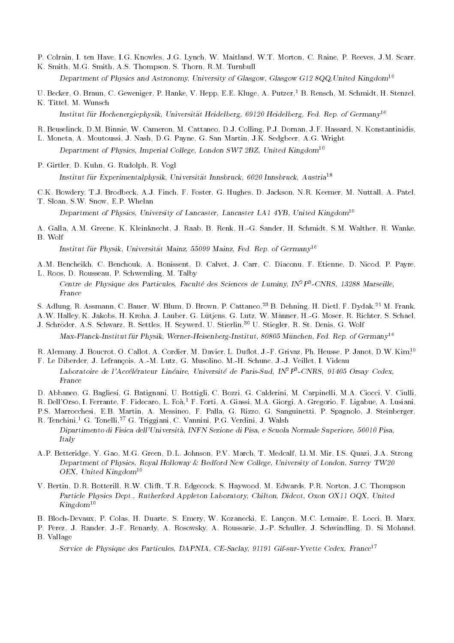- P. Colrain, I. ten Have, I.G. Knowles, J.G. Lynch, W. Maitland, W.T. Morton, C. Raine, P. Reeves, J.M. Scarr,
- K. Smith, M.G. Smith, A.S. Thompson, S. Thorn, R.M. Turnbull Department of Physics and Astronomy, University of Glasgow, Glasgow G12 8QQ, United Kingdom<sup>10</sup>
- U. Becker, O. Braun, C. Geweniger, P. Hanke, V. Hepp, E.E. Kluge, A. Putzer,<sup>1</sup> B. Rensch, M. Schmidt, H. Stenzel,
- K. Tittel, M. Wunsch Institut für Hochenergiephysik, Universität Heidelberg, 69120 Heidelberg, Fed. Rep. of Germany<sup>16</sup>
- R. Beuselinck, D.M. Binnie, W. Cameron, M. Cattaneo, D.J. Colling, P.J. Dornan, J.F. Hassard, N. Konstantinidis,
- L. Moneta, A. Moutoussi, J. Nash, D.G. Payne, G. San Martin, J.K. Sedgbeer, A.G. Wright Department of Physics, Imperial College, London SW7 2BZ, United Kingdom<sup>10</sup>
- P. Girtler, D. Kuhn, G. Rudolph, R. Vogl Institut fur Experimentalphysik, Universitat Innsbruck, 6020 Innsbruck, Austria<sup>18</sup>
- C.K. Bowdery, T.J. Brodbeck, A.J. Finch, F. Foster, G. Hughes, D. Jackson, N.R. Keemer, M. Nuttall, A. Patel, T. Sloan, S.W. Snow, E.P. Whelan

Department of Physics, University of Lancaster, Lancaster LA1 4YB, United Kingdom10

A. Galla, A.M. Greene, K. Kleinknecht, J. Raab, B. Renk, H.-G. Sander, H. Schmidt, S.M. Walther, R. Wanke, B. Wolf

Institut fur Physik, Universitat Mainz, 55099 Mainz, Fed. Rep. of Germany<sup>16</sup>

- A.M. Bencheikh, C. Benchouk, A. Bonissent, D. Calvet, J. Carr, C. Diaconu, F. Etienne, D. Nicod, P. Payre,
- L. Roos, D. Rousseau, P. Schwemling, M. Talby Centre de Physique des Particules, Faculte des Sciences de Luminy, IN<sup>2</sup>P<sup>3</sup>-CNRS, 13288 Marseille,
- S. Adlung, R. Assmann, C. Bauer, W. Blum, D. Brown, P. Cattaneo,<sup>23</sup> B. Dehning, H. Dietl, F. Dydak,<sup>21</sup> M. Frank,
- A.W. Halley, K. Jakobs, H. Kroha, J. Lauber, G. Lutjens, G. Lutz, W. Manner, H.-G. Moser, R. Richter, S. Schael,
- J. Schroder, A.S. Schwarz, R. Settles, H. Seywerd, U. Stierlin,30 U. Stiegler, R. St. Denis, G. Wolf Max-Planck-Institut für Physik, Werner-Heisenberg-Institut, 80805 München, Fed. Rep. of Germany<sup>16</sup>
- R. Alemany, J. Boucrot, O. Callot, A. Cordier, M. Davier, L. Duflot, J.-F. Grivaz, Ph. Heusse, P. Janot, D.W. Kim<sup>19</sup>
- F. Le Diberder, J. Lefrancois, A.-M. Lutz, G. Musolino, M.-H. Schune, J.-J. Veillet, I. Videau Laboratoire de l'Accélérateur Linéaire, Université de Paris-Sud, IN<sup>2</sup>P<sup>3</sup>-CNRS, 91405 Orsay Cedex, France
- D. Abbaneo, G. Bagliesi, G. Batignani, U. Bottigli, C. Bozzi, G. Calderini, M. Carpinelli, M.A. Ciocci, V. Ciulli, R. Dell'Orso, I. Ferrante, F. Fidecaro, L. Foà,<sup>1</sup> F. Forti, A. Giassi, M.A. Giorgi, A. Gregorio, F. Ligabue, A. Lusiani, P.S. Marrocchesi, E.B. Martin, A. Messineo, F. Palla, G. Rizzo, G. Sanguinetti, P. Spagnolo, J. Steinberger,
- R. Tenchini,<sup>1</sup> G. Tonelli,<sup>27</sup> G. Triggiani, C. Vannini, P.G. Verdini, J. Walsh Dipartimento di Fisica dell'Universita, INFN Sezione di Pisa, e Scuola Normale Superiore, 56010 Pisa, Italy
- A.P. Betteridge, Y. Gao, M.G. Green, D.L. Johnson, P.V. March, T. Medcalf, Ll.M. Mir, I.S. Quazi, J.A. Strong Department of Physics, Royal Holloway & Bedford New College, University of London, Surrey TW20 OEX, United Kingdom<sup>10</sup>
- V. Bertin, D.R. Botterill, R.W. Clifft, T.R. Edgecock, S. Haywood, M. Edwards, P.R. Norton, J.C. Thompson Particle Physics Dept., Rutherford Appleton Laboratory, Chilton, Didcot, Oxon OX11 OQX, United  $Kingdom^{10}$
- B. Bloch-Devaux, P. Colas, H. Duarte, S. Emery, W. Kozanecki, E. Lancon, M.C. Lemaire, E. Locci, B. Marx,
- P. Perez, J. Rander, J.-F. Renardy, A. Rosowsky, A. Roussarie, J.-P. Schuller, J. Schwindling, D. Si Mohand, B. Vallage

Service de Physique des Particules, DAPNIA, CE-Saclay, 91191 Gif-sur-Yvette Cedex, France<sup>17</sup>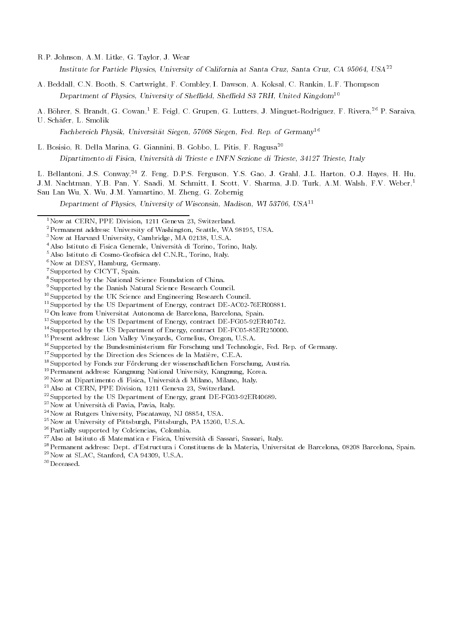R.P. Johnson, A.M. Litke, G. Taylor, J. Wear

Institute for Particle Physics, University of California at Santa Cruz, Santa Cruz, CA 95064, USA<sup>22</sup>

A. Beddall, C.N. Booth, S. Cartwright, F. Combley, I. Dawson, A. Koksal, C. Rankin, L.F. Thompson Department of Physics, University of Sheffield, Sheffield S3 7RH, United Kingdom<sup>10</sup>

A. Böhrer, S. Brandt, G. Cowan,<sup>1</sup> E. Feigl, C. Grupen, G. Lutters, J. Minguet-Rodriguez, F. Rivera,<sup>26</sup> P. Saraiva,

U. Schafer, L. Smolik

Fachbereich Physik, Universitat Siegen, 57068 Siegen, Fed. Rep. of Germany<sup>16</sup>

L. Bosisio, R. Della Marina, G. Giannini, B. Gobbo, L. Pitis, F. Ragusa<sup>20</sup> Dipartimento di Fisica, Universita di Trieste e INFN Sezione di Trieste, 34127 Trieste, Italy

L. Bellantoni, J.S. Conway,<sup>24</sup> Z. Feng, D.P.S. Ferguson, Y.S. Gao, J. Grahl, J.L. Harton, O.J. Hayes, H. Hu, J.M. Nachtman, Y.B. Pan, Y. Saadi, M. Schmitt, I. Scott, V. Sharma, J.D. Turk, A.M. Walsh, F.V. Weber,<sup>1</sup> Sau Lan Wu, X. Wu, J.M. Yamartino, M. Zheng, G. Zobernig

Department of Physics, University of Wisconsin, Madison, WI 53706, USA11

3Now at Harvard University, Cambridge, MA 02138, U.S.A.

- $6$ Now at DESY, Hamburg, Germany.
- 7Supported by CICYT, Spain.

- 9Supported by the Danish Natural Science Research Council.
- 10Supported by the UK Science and Engineering Research Council.
- <sup>11</sup>Supported by the US Department of Energy, contract DE-AC02-76ER00881.
- 12On leave from Universitat Autonoma de Barcelona, Barcelona, Spain.
- <sup>13</sup>Supported by the US Department of Energy, contract DE-FG05-92ER40742.
- <sup>14</sup>Supported by the US Department of Energy, contract DE-FC05-85ER250000.
- 15Present address: Lion Valley Vineyards, Cornelius, Oregon, U.S.A.
- <sup>16</sup>Supported by the Bundesministerium für Forschung und Technologie, Fed. Rep. of Germany.
- <sup>17</sup>Supported by the Direction des Sciences de la Matière, C.E.A.
- 18Supported by Fonds zur Forderung der wissenschaftlichen Forschung, Austria.
- 19Permanent address: Kangnung National University, Kangnung, Korea.

20Now at Dipartimento di Fisica, Universita di Milano, Milano, Italy.

- 21Also at CERN, PPE Division, 1211 Geneva 23, Switzerland.
- 22Supported by the US Department of Energy, grant DE-FG03-92ER40689.
- 23Now at Universita di Pavia, Pavia, Italy.
- 24Now at Rutgers University, Piscataway, NJ 08854, USA.
- 25Now at University of Pittsburgh, Pittsburgh, PA 15260, U.S.A.
- 26Partially supported by Colciencias, Colombia.
- 27Also at Istituto di Matematica e Fisica, Universita di Sassari, Sassari, Italy.
- 28Permanent address: Dept. d'Estructura i Constituens de la Materia, Universitat de Barcelona, 08208 Barcelona, Spain. 29Now at SLAC, Stanford, CA 94309, U.S.A.

30Deceased.

<sup>&</sup>lt;sup>1</sup>Now at CERN, PPE Division, 1211 Geneva 23, Switzerland.

<sup>2</sup>Permanent address: University of Washington, Seattle, WA 98195, USA.

<sup>4</sup>Also Istituto di Fisica Generale, Universita di Torino, Torino, Italy.

 $5$  Also Istituto di Cosmo-Geofisica del C.N.R., Torino, Italy.

<sup>8</sup>Supported by the National Science Foundation of China.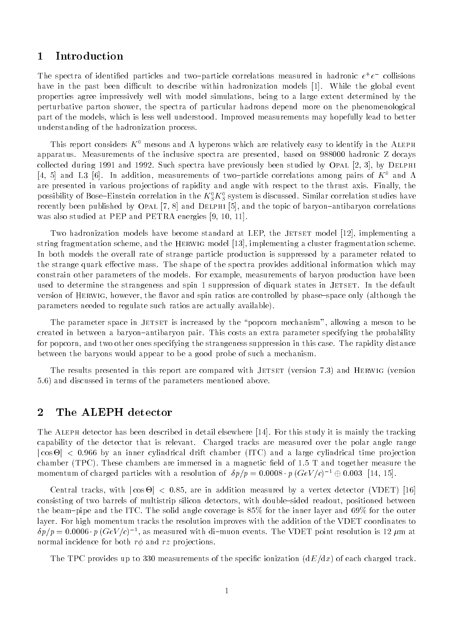### 1 Introduction

The spectra of identified particles and two-particle correlations measured in hadronic  $e^+e^-$  collisions have in the past been difficult to describe within hadronization models [1]. While the global event properties agree impressively well with model simulations, being to a large extent determined by the perturbative parton shower, the spectra of particular hadrons depend more on the phenomenological part of the models, which is less well understood. Improved measurements may hopefully lead to better understanding of the hadronization process.

This report considers  $K^0$  mesons and  $\Lambda$  hyperons which are relatively easy to identify in the ALEPH apparatus. Measurements of the inclusive spectra are presented, based on 988000 hadronic Z decays collected during 1991 and 1992. Such spectra have previously been studied by OPAL  $[2, 3]$ , by DELPHI [4, 5] and L3 [6]. In addition, measurements of two-particle correlations among pairs of  $K^0$  and  $\Lambda$ are presented in various pro jections of rapidity and angle with respect to the thrust axis. Finally, the possibility of Bose–Einstein correlation in the  $\kappa_{\tilde{S}}\kappa_{\tilde{S}}$  system is discussed. Similar correlation studies have recently been published by OPAL  $[7, 8]$  and DELPHI  $[5]$ , and the topic of baryon-antibaryon correlations was also studied at PEP and PETRA energies [9, 10, 11].

Two hadronization models have become standard at LEP, the JETSET model [12], implementing a string fragmentation scheme, and the Herwig model [13], implementing a cluster fragmentation scheme. In both models the overall rate of strange particle production is suppressed by a parameter related to the strange quark effective mass. The shape of the spectra provides additional information which may constrain other parameters of the models. For example, measurements of baryon production have been used to determine the strangeness and spin 1 suppression of diquark states in JETSET. In the default version of HERWIG, however, the flavor and spin ratios are controlled by phase-space only (although the parameters needed to regulate such ratios are actually available).

The parameter space in JETSET is increased by the "popcorn mechanism", allowing a meson to be created in between a baryon-antibaryon pair. This costs an extra parameter specifying the probability for popcorn, and two other ones specifying the strangeness suppression in this case. The rapidity distance between the baryons would appear to be a good probe of such a mechanism.

The results presented in this report are compared with JETSET (version 7.3) and HERWIG (version 5.6) and discussed in terms of the parameters mentioned above.

### 2 The ALEPH detector

The Aleph detector has been described in detail elsewhere [14]. For this study it is mainly the tracking capability of the detector that is relevant. Charged tracks are measured over the polar angle range <sup>j</sup> cos -<sup>j</sup> <sup>&</sup>lt; 0:966 by an inner cylindrical drift chamber (ITC) and a large cylindrical time pro jection chamber (TPC). These chambers are immersed in a magnetic field of  $1.5$  T and together measure the momentum of charged particles with a resolution of  $\delta p/p = 0.0008 \cdot p (GeV/c)^{-1} \oplus 0.003$  [14, 15].

Central tracks, with <sup>j</sup> cos -<sup>j</sup> <sup>&</sup>lt; 0:85, are in addition measured byavertex detector (VDET) [16] consisting of two barrels of multistrip silicon detectors, with double-sided readout, positioned between the beam-pipe and the ITC. The solid angle coverage is  $85\%$  for the inner layer and  $69\%$  for the outer layer. For high momentum tracks the resolution improves with the addition of the VDET coordinates to  $\delta p/p=0.0006\cdot p$  (GeV/c) =, as measured with di-muon events. The VDET point resolution is 12  $\mu$ m at normal incidence for both  $r\phi$  and rz projections.

The TPC provides up to 330 measurements of the specific ionization  $(dE/dx)$  of each charged track.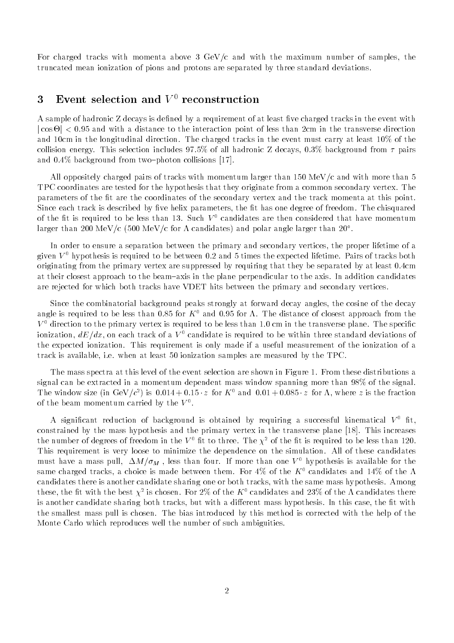For charged tracks with momenta above 3  $GeV/c$  and with the maximum number of samples, the truncated mean ionization of pions and protons are separated by three standard deviations.

## 3 Event selection and  $V^0$  reconstruction

A sample of hadronic Z decays is defined by a requirement of at least five charged tracks in the event with <sup>j</sup> cos -<sup>j</sup> <sup>&</sup>lt; 0:95 and with a distance to the interaction point of less than 2cm in the transverse direction and 10cm in the longitudinal direction. The charged tracks in the event must carry at least 10% of the collision energy. This selection includes 97.5% of all hadronic Z decays, 0.3% background from  $\tau$  pairs and  $0.4\%$  background from two-photon collisions [17].

All oppositely charged pairs of tracks with momentum larger than 150 MeV/c and with more than 5 TPC coordinates are tested for the hypothesis that they originate from a common secondary vertex. The parameters of the fit are the coordinates of the secondary vertex and the track momenta at this point. Since each track is described by five helix parameters, the fit has one degree of freedom. The chisquared of the fit is required to be less than 13. Such  $V^0$  candidates are then considered that have momentum larger than 200 MeV/c (500 MeV/c for candidates) and polar angle larger than 20 .

In order to ensure a separation between the primary and secondary vertices, the proper lifetime of a given  $V^0$  hypothesis is required to be between 0.2 and 5 times the expected lifetime. Pairs of tracks both originating from the primary vertex are suppressed by requiring that they be separated by at least 0.4cm at their closest approach to the beam-axis in the plane perpendicular to the axis. In addition candidates are rejected for which both tracks have VDET hits between the primary and secondary vertices.

Since the combinatorial background peaks strongly at forward decay angles, the cosine of the decay angle is required to be less than 0.85 for  $K^0$  and 0.95 for  $\Lambda$ . The distance of closest approach from the  $V<sup>0</sup>$  direction to the primary vertex is required to be less than 1.0 cm in the transverse plane. The specific ionization,  $dE/dx$ , on each track of a  $V^0$  candidate is required to be within three standard deviations of the expected ionization. This requirement is only made if a useful measurement of the ionization of a track is available, i.e. when at least 50 ionization samples are measured by the TPC.

The mass spectra at this level of the event selection are shown in Figure 1. From these distributions a signal can be extracted in a momentum dependent mass window spanning more than 98% of the signal. The window size (in GeV/c ) is 0.014 + 0.15  $z$  for A and 0.01 + 0.085  $z$  for A, where  $z$  is the fraction of the beam momentum carried by the  $V^{\ast}$ .

A significant reduction of background is obtained by requiring a successful kinematical  $V^0$  fit, constrained by the mass hypothesis and the primary vertex in the transverse plane [18]. This increases the number of degrees of freedom in the  $V^0$  fit to three. The  $\chi^2$  of the fit is required to be less than 120. This requirement is very loose to minimize the dependence on the simulation. All of these candidates must have a mass pull,  $\Delta M/\sigma_M$ , less than four. If more than one  $V^0$  hypothesis is available for the same charged tracks, a choice is made between them. For 4% of the  $K^0$  candidates and 14% of the  $\Lambda$ candidates there is another candidate sharing one or both tracks, with the same mass hypothesis. Among these, the fit with the best  $\chi^{\perp}$  is chosen. For  $2\%$  of the  $K^{\perp}$  candidates and  $25\%$  of the  $\Lambda$  candidates there is another candidate sharing both tracks, but with a different mass hypothesis. In this case, the fit with the smallest mass pull is chosen. The bias introduced by this method is corrected with the help of the Monte Carlo which reproduces well the number of such ambiguities.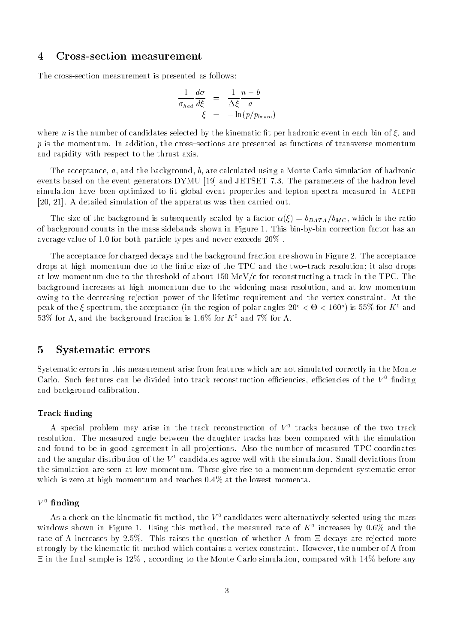#### 4 Cross-section measurement

The cross-section measurement is presented as follows:

$$
\frac{1}{\sigma_{had}} \frac{d\sigma}{d\xi} = \frac{1}{\Delta\xi} \frac{n-b}{a}
$$

$$
\xi = -\ln(p/p_{beam})
$$

where *n* is the number of candidates selected by the kinematic fit per hadronic event in each bin of  $\xi$ , and p is the momentum. In addition, the cross-sections are presented as functions of transverse momentum and rapidity with respect to the thrust axis.

The acceptance, a, and the background, b, are calculated using a Monte Carlo simulation of hadronic events based on the event generators DYMU [19] and JETSET 7.3. The parameters of the hadron level simulation have been optimized to fit global event properties and lepton spectra measured in ALEPH [20, 21]. A detailed simulation of the apparatus was then carried out.

The size of the background is subsequently scaled by a factor  $\alpha(\xi) = b_{DATA}/b_{MC}$ , which is the ratio of background counts in the mass sidebands shown in Figure 1. This bin-by-bin correction factor has an average value of 1.0 for both particle types and never exceeds 20% .

The acceptance for charged decays and the background fraction are shown in Figure 2. The acceptance drops at high momentum due to the finite size of the TPC and the two-track resolution; it also drops at low momentum due to the threshold of about 150 MeV/c for reconstructing a track in the TPC. The background increases at high momentum due to the widening mass resolution, and at low momentum owing to the decreasing rejection power of the lifetime requirement and the vertex constraint. At the peak of the  $\zeta$  spectrum, the acceptance (in the region of polar angles 20  $\leq$   $\Theta$   $\leq$  100  $\,$  is 55% for  $K^+$  and 53% for  $\Lambda$ , and the background fraction is 1.6% for  $K^0$  and 7% for  $\Lambda$ .

#### 5 Systematic errors

Systematic errors in this measurement arise from features which are not simulated correctly in the Monte Carlo. Such features can be divided into track reconstruction efficiencies, efficiencies of the  $V^0$  finding and background calibration.

#### Track finding

A special problem may arise in the track reconstruction of  $V^0$  tracks because of the two-track resolution. The measured angle between the daughter tracks has been compared with the simulation and found to be in good agreement in all projections. Also the number of measured TPC coordinates and the angular distribution of the  $V^0$  candidates agree well with the simulation. Small deviations from the simulation are seen at low momentum. These give rise to a momentum dependent systematic error which is zero at high momentum and reaches 0.4% at the lowest momenta.

#### $V^0$  finding

As a check on the kinematic fit method, the  $V^0$  candidates were alternatively selected using the mass windows shown in Figure 1. Using this method, the measured rate of  $K^+$  increases by 0.6% and the rate of  $\Lambda$  increases by 2.5%. This raises the question of whether  $\Lambda$  from  $\Xi$  decays are rejected more strongly by the kinematic fit method which contains a vertex constraint. However, the number of  $\Lambda$  from  $\Xi$  in the final sample is 12%, according to the Monte Carlo simulation, compared with 14% before any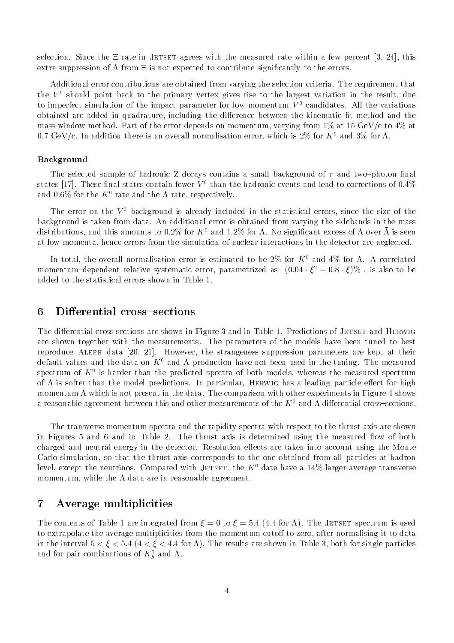selection. Since the  $\Xi$  rate in JETSET agrees with the measured rate within a few percent [3, 24], this extra suppression of  $\Lambda$  from  $\Xi$  is not expected to contribute significantly to the errors.

Additional error contributions are obtained from varying the selection criteria. The requirement that the  $V^0$  should point back to the primary vertex gives rise to the largest variation in the result, due to imperfect simulation of the impact parameter for low momentum  $V^0$  candidates. All the variations obtained are added in quadrature, including the difference between the kinematic fit method and the mass window method. Part of the error depends on momentum, varying from  $1\%$  at 15 GeV/c to  $4\%$  at 0.7 GeV/c. In addition there is an overall normalisation error, which is  $2\%$  for K<sup>0</sup> and  $3\%$  for  $\Lambda$ .

#### Background

The selected sample of hadronic Z decays contains a small background of  $\tau$  and two-photon final states [17]. These final states contain fewer  $V^0$  than the hadronic events and lead to corrections of 0.4% and 0.6% for the  $K^0$  rate and the  $\Lambda$  rate, respectively.

The error on the  $V^0$  background is already included in the statistical errors, since the size of the background is taken from data. An additional error is obtained from varying the sidebands in the mass distributions, and this amounts to 0.2% for  $K^0$  and 1.2% for A. No significant excess of A over  $\bar{\Lambda}$  is seen at low momenta, hence errors from the simulation of nuclear interactions in the detector are neglected.

In total, the overall normalisation error is estimated to be 2% for  $K^0$  and 4% for  $\Lambda$ . A correlated momentum—dependent relative systematic error, parametrized as  $(0.04 \cdot \zeta^* + 0.8 \cdot \zeta)/\theta$  , is also to be added to the statistical errors shown in Table 1.

### 6 Differential cross-sections

The differential cross-sections are shown in Figure 3 and in Table 1. Predictions of JETSET and HERWIG are shown together with the measurements. The parameters of the models have been tuned to best reproduce Aleph data [20, 21]. However, the strangeness suppression parameters are kept at their default values and the data on  $K^0$  and  $\Lambda$  production have not been used in the tuning. The measured  $\mathbf s$ pectrum of  $\mathbf A^\top$  is harder than the predicted spectra of both models, whereas the measured spectrum of  $\Lambda$  is softer than the model predictions. In particular, HERWIG has a leading particle effect for high momentum  $\Lambda$  which is not present in the data. The comparison with other experiments in Figure 4 shows a reasonable agreement between this and other measurements of the  $K^0$  and  $\Lambda$  differential cross-sections.

The transverse momentum spectra and the rapidity spectra with respect to the thrust axis are shown in Figures 5 and 6 and in Table 2. The thrust axis is determined using the measured flow of both charged and neutral energy in the detector. Resolution effects are taken into account using the Monte Carlo simulation, so that the thrust axis corresponds to the one obtained from all particles at hadron level, except the neutrinos. Compared with JETSET, the  $K^0$  data have a 14% larger average transverse momentum, while the  $\Lambda$  data are in reasonable agreement.

### 7 Average multiplicities

The contents of Table 1 are integrated from  $\xi = 0$  to  $\xi = 5.4$  (4.4 for  $\Lambda$ ). The JETSET spectrum is used to extrapolate the average multiplicities from the momentum cutoff to zero, after normalising it to data in the interval  $5 < \xi < 5.4$  (4  $< \xi < 4.4$  for A). The results are shown in Table 3, both for single particles and for pair combinations of  $\kappa_{\bar{S}}$  and  $\Lambda_{\ast}$  .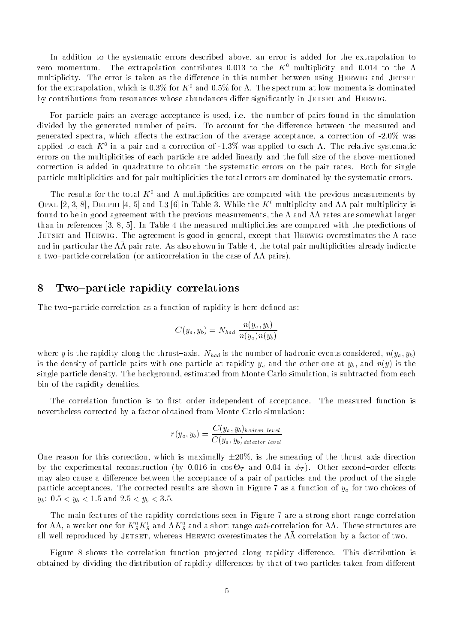In addition to the systematic errors described above, an error is added for the extrapolation to zero momentum. The extrapolation contributes 0.013 to the  $K^0$  multiplicity and 0.014 to the  $\Lambda$ multiplicity. The error is taken as the difference in this number between using HERWIG and JETSET for the extrapolation, which is 0.3% for  $K^0$  and 0.5% for A. The spectrum at low momenta is dominated by contributions from resonances whose abundances differ significantly in JETSET and HERWIG.

For particle pairs an average acceptance is used, i.e. the number of pairs found in the simulation divided by the generated number of pairs. To account for the difference between the measured and generated spectra, which affects the extraction of the average acceptance, a correction of -2.0% was applied to each  $K^+$  in a pair and a correction of -1.5% was applied to each  $K^-$  The relative systematic  $\pm$ errors on the multiplicities of each particle are added linearly and the full size of the above-mentioned correction is added in quadrature to obtain the systematic errors on the pair rates. Both for single particle multiplicities and for pair multiplicities the total errors are dominated by the systematic errors.

The results for the total  $K^0$  and  $\Lambda$  multiplicities are compared with the previous measurements by OPAL [2, 3, 8], DELPHI [4, 5] and L3 [6] in Table 3. While the  $K^0$  multiplicity and  $\Lambda\bar{\Lambda}$  pair multiplicity is found to be in good agreement with the previous measurements, the  $\Lambda$  and  $\Lambda\Lambda$  rates are somewhat larger than in references [3, 8, 5]. In Table 4 the measured multiplicities are compared with the predictions of JETSET and HERWIG. The agreement is good in general, except that HERWIG overestimates the  $\Lambda$  rate and in particular the  $m$  pair rate. As also shown in Table 4, the total pair multiplicities already indicate a two-particle correlation (or anticorrelation in the case of  $\Lambda\Lambda$  pairs).

### 8 Two-particle rapidity correlations

The two-particle correlation as a function of rapidity is here defined as:

$$
C(y_a, y_b) = N_{had} \frac{n(y_a, y_b)}{n(y_a) n(y_b)}
$$

where y is the rapidity along the thrust-axis.  $N_{had}$  is the number of hadronic events considered,  $n(y_a, y_b)$ is the density of particle pairs with one particle at rapidity  $y_a$  and the other one at  $y_b$ , and  $n(y)$  is the single particle density. The background, estimated from Monte Carlo simulation, is subtracted from each bin of the rapidity densities.

The correlation function is to first order independent of acceptance. The measured function is nevertheless corrected by a factor obtained from Monte Carlo simulation:

$$
r(y_a, y_b) = \frac{C(y_a, y_b)_{hadron level}}{C(y_a, y_b)_{detector level}}
$$

One reason for this correction, which is maximally  $\pm 20\%$ , is the smearing of the thrust axis direction by the experimental reconstruction (by 0.016 in cos -T and 0.04 in T ). Other second{order eects may also cause a difference between the acceptance of a pair of particles and the product of the single particle acceptances. The corrected results are shown in Figure 7 as a function of  $y_a$  for two choices of  $y_b$ : 0.5 <  $y_b$  < 1.5 and 2.5 <  $y_b$  < 3.5.

The main features of the rapidity correlations seen in Figure 7 are a strong short range correlation for AA, a weaker one for  $\Lambda_S^+ \Lambda_S^-$  and A $\Lambda_S^-$  and a short range *unu*-correlation for AA. These structures are all well reproduced by JETSET, whereas HERWIG overestimates the  $\Lambda\Lambda$  correlation by a factor of two.

Figure 8 shows the correlation function projected along rapidity difference. This distribution is obtained by dividing the distribution of rapidity differences by that of two particles taken from different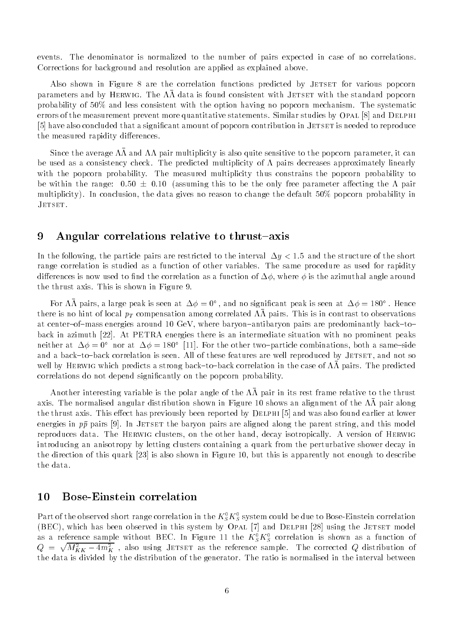events. The denominator is normalized to the number of pairs expected in case of no correlations. Corrections for background and resolution are applied as explained above.

Also shown in Figure 8 are the correlation functions predicted by JETSET for various popcorn parameters and by HERWIG. The  $\Lambda\Lambda$  data is found consistent with JETSET with the standard popcorn probability of 50% and less consistent with the option having no popcorn mechanism. The systematic errors of the measurement prevent more quantitative statements. Similar studies by OPAL [8] and DELPHI [5] have also concluded that a significant amount of popcorn contribution in JETSET is needed to reproduce the measured rapidity differences.

Since the average and pair multiplicity is also quite sensitive to the popcorn parameter, it can be used as a consistency check. The predicted multiplicity of  $\Lambda$  pairs decreases approximately linearly with the popcorn probability. The measured multiplicity thus constrains the popcorn probability to be within the range:  $0.50 \pm 0.10$  (assuming this to be the only free parameter affecting the  $\Lambda$  pair multiplicity). In conclusion, the data gives no reason to change the default 50% popcorn probability in JETSET.

### 9 Angular correlations relative to thrust-axis

In the following, the particle pairs are restricted to the interval  $\Delta y < 1.5$  and the structure of the short range correlation is studied as a function of other variables. The same procedure as used for rapidity differences is now used to find the correlation as a function of  $\Delta\phi$ , where  $\phi$  is the azimuthal angle around the thrust axis. This is shown in Figure 9.

For AA pairs, a large peak is seen at  $\Delta\phi=0^\circ$  , and no significant peak is seen at  $\Delta\phi=$  180°. Hence there is no mint of local  $p_T$  compensation among correlated  $mn$  pairs. This is in contrast to observations at center-of-mass energies around 10 GeV, where baryon-antibaryon pairs are predominantly back-toback in azimuth [22]. At PETRA energies there is an intermediate situation with no prominent peaks neither at  $\Delta\phi = 0$ . Hor at  $\Delta\phi = 180$ . [11]. For the other two-particle combinations, both a same-side and a back-to-back correlation is seen. All of these features are well reproduced by JETSET, and not so well by HERWIG which predicts a strong back-to-back correlation in the case of  $\Lambda\Lambda$  pairs. The predicted correlations do not depend signicantly on the popcorn probability.

Another interesting variable is the polar angle of the  $\Lambda\Lambda$  pair in its rest frame relative to the thrust axis. The normalised angular distribution shown in Figure 10 shows an alignment of the  $\Lambda\Lambda$  pair along the thrust axis. This effect has previously been reported by DELPHI [5] and was also found earlier at lower energies in  $p\bar{p}$  pairs [9]. In JETSET the baryon pairs are aligned along the parent string, and this model reproduces data. The HERWIG clusters, on the other hand, decay isotropically. A version of HERWIG introducing an anisotropy by letting clusters containing a quark from the perturbative shower decay in the direction of this quark [23] is also shown in Figure 10, but this is apparently not enough to describe the data.

### 10 Bose-Einstein correlation

Part of the observed short range correlation in the  $K_{\tilde{S}}K_{\tilde{S}}$  system could be due to Bose-Einstein correlation (BEC), which has been observed in this system by OPAL [7] and DELPHI [28] using the JETSET model as a reference sample without  $BEC$ . In rigure 11 the  $K_{\tilde{S}}K_{\tilde{S}}$  correlation is shown as a function of  $Q \; = \; \sqrt{M_{KK}^2 - 4 m_K^2}$  , also using JETSET as the reference sample. The corrected  $Q$  distribution of the data is divided by the distribution of the generator. The ratio is normalised in the interval between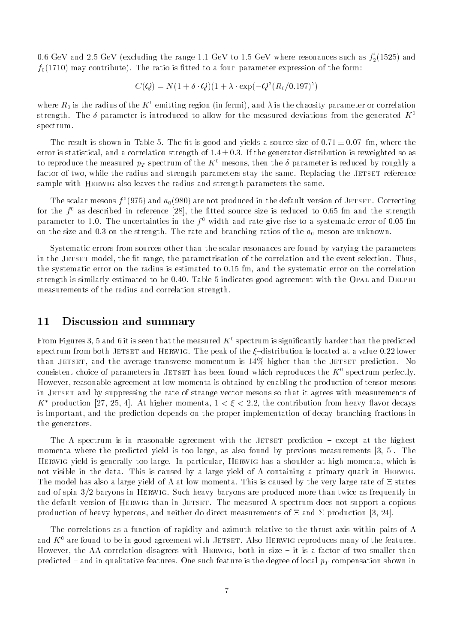0.6 GeV and 2.5 GeV (excluding the range 1.1 GeV to 1.5 GeV where resonances such as  $f_2(1525)$  and  $f_0(1710)$  may contribute). The ratio is fitted to a four-parameter expression of the form:

$$
C(Q) = N(1 + \delta \cdot Q)(1 + \lambda \cdot \exp(-Q^{2}(R_{0}/0.197)^{2})
$$

where  $R_0$  is the radius of the  $K^0$  emitting region (in fermi), and  $\lambda$  is the chaosity parameter or correlation strength. The  $\delta$  parameter is introduced to allow for the measured deviations from the generated  $K^0$ spectrum.

The result is shown in Table 5. The fit is good and yields a source size of  $0.71 \pm 0.07$  fm, where the error is statistical, and a correlation strength of  $1.4 \pm 0.3$ . If the generator distribution is reweighted so as to reproduce the measured  $p_T$  spectrum of the  $K^0$  mesons, then the  $\delta$  parameter is reduced by roughly a factor of two, while the radius and strength parameters stay the same. Replacing the JETSET reference sample with Herwig also leaves the radius and strength parameters the same.

The scalar mesons  $f^0(975)$  and  $a_0(980)$  are not produced in the default version of JETSET. Correcting for the  $\mu$  as described in reference [28], the fitted source size is reduced to 0.65 fm and the strength  $$ parameter to 1.0. The uncertainties in the  $f^0$  width and rate give rise to a systematic error of 0.05 fm on the size and 0.3 on the strength. The rate and branching ratios of the  $a_0$  meson are unknown.

Systematic errors from sources other than the scalar resonances are found by varying the parameters in the JETSET model, the fit range, the parametrisation of the correlation and the event selection. Thus, the systematic error on the radius is estimated to 0.15 fm, and the systematic error on the correlation strength is similarly estimated to be 0.40. Table 5 indicates good agreement with the OPAL and DELPHI measurements of the radius and correlation strength.

### 11 Discussion and summary

From Figures 3, 5 and 6 it is seen that the measured  $K^0$  spectrum is significantly harder than the predicted spectrum from both JETSET and HERWIG. The peak of the  $\xi$ -distribution is located at a value 0.22 lower than JETSET, and the average transverse momentum is  $14\%$  higher than the JETSET prediction. No consistent choice of parameters in JETSET has been found which reproduces the  $K^0$  spectrum perfectly. However, reasonable agreement at low momenta is obtained by enabling the production of tensor mesons in JETSET and by suppressing the rate of strange vector mesons so that it agrees with measurements of K<sup>\*</sup> production [27, 25, 4]. At higher momenta,  $1 < \xi < 2.2$ , the contribution from heavy flavor decays is important, and the prediction depends on the proper implementation of decay branching fractions in the generators.

The  $\Lambda$  spectrum is in reasonable agreement with the JETSET prediction  $-$  except at the highest momenta where the predicted yield is too large, as also found by previous measurements [3, 5]. The Herwig yield is generally too large. In particular, Herwig has a shoulder at high momenta, which is not visible in the data. This is caused by a large yield of  $\Lambda$  containing a primary quark in HERWIG. The model has also a large yield of  $\Lambda$  at low momenta. This is caused by the very large rate of  $\Xi$  states and of spin 3/2 baryons in Herwig. Such heavy baryons are produced more than twice as frequently in the default version of HERWIG than in JETSET. The measured  $\Lambda$  spectrum does not support a copious production of heavy hyperons, and neither do direct measurements of  $\Xi$  and  $\Sigma$  production [3, 24].

The correlations as a function of rapidity and azimuth relative to the thrust axis within pairs of  $\Lambda$ and  $K^0$  are found to be in good agreement with JETSET. Also HERWIG reproduces many of the features. However, the  $\Lambda\Lambda$  correlation disagrees with HERWIG, both in size  $=$  it is a factor of two smaller than predicted  $-$  and in qualitative features. One such feature is the degree of local  $p_T$  compensation shown in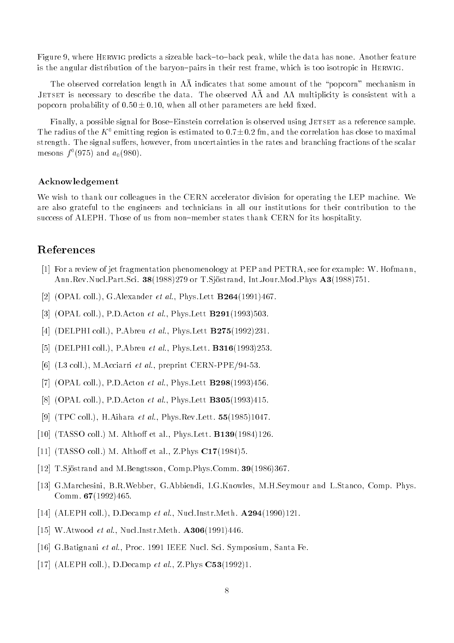Figure 9, where HERWIG predicts a sizeable back-to-back peak, while the data has none. Another feature is the angular distribution of the baryon-pairs in their rest frame, which is too isotropic in HERWIG.

The observed correlation length in  $\Lambda\Lambda$  indicates that some amount of the "popcorn" mechanism in Jetset is necessary to describe the data. The observed and multiplicity is consistent with a popcorn probability of  $0.50 \pm 0.10$ , when all other parameters are held fixed.

Finally, a possible signal for Bose–Einstein correlation is observed using JETSET as a reference sample. The radius of the  $K^0$  emitting region is estimated to  $0.7\pm0.2$  fm, and the correlation has close to maximal strength. The signal suffers, however, from uncertainties in the rates and branching fractions of the scalar mesons  $f^-(975)$  and  $a_0(980)$ .

#### Acknowledgement

We wish to thank our colleagues in the CERN accelerator division for operating the LEP machine. We are also grateful to the engineers and technicians in all our institutions for their contribution to the success of ALEPH. Those of us from non-member states thank CERN for its hospitality.

### References

- [1] For a review of jet fragmentation phenomenology at PEP and PETRA, see for example: W. Hofmann, Ann.Rev.Nucl.Part.Sci. 38(1988)279 or T.Sjostrand, Int.Jour.Mod.Phys A3(1988)751.
- [2] (OPAL coll.), G.Alexander *et al.*, Phys.Lett  $B264(1991)467$ .
- [3] (OPAL coll.), P.D.Acton *et al.*, Phys.Lett **B291**(1993)503.
- [4] (DELPHI coll.), P.Abreu *et al.*, Phys.Lett **B275**(1992)231.
- [5] (DELPHI coll.), P.Abreu *et al.*, Phys.Lett. **B316**(1993)253.
- [6] (L3 coll.), M.Acciarri et al., preprint CERN-PPE/94-53.
- [7] (OPAL coll.), P.D.Acton *et al.*, Phys.Lett  $\textbf{B298}(1993)456$ .
- [8] (OPAL coll.), P.D.Acton *et al.*, Phys.Lett **B305**(1993)415.
- [9] (TPC coll.), H.Aihara *et al.*, Phys.Rev.Lett.  $55(1985)1047$ .
- [10] (TASSO coll.) M. Althoff et al., Phys.Lett.  $\textbf{B139}(1984)126$ .
- [11] (TASSO coll.) M. Althoff et al., Z.Phys  $C17(1984)5$ .
- [12] T.Sjöstrand and M.Bengtsson, Comp.Phys.Comm. 39(1986)367.
- [13] G.Marchesini, B.R.Webber, G.Abbiendi, I.G.Knowles, M.H.Seymour and L.Stanco, Comp. Phys. Comm.  $67(1992)465$ .
- [14] (ALEPH coll.), D.Decamp et al., Nucl.Instr.Meth.  $\mathbf{A294}(1990)121$ .
- [15] W.Atwood et al., Nucl.Instr.Meth. A306(1991)446.
- [16] G.Batignani et al., Proc. 1991 IEEE Nucl. Sci. Symposium, Santa Fe.
- [17] (ALEPH coll.), D.Decamp et al., Z.Phys C53(1992)1.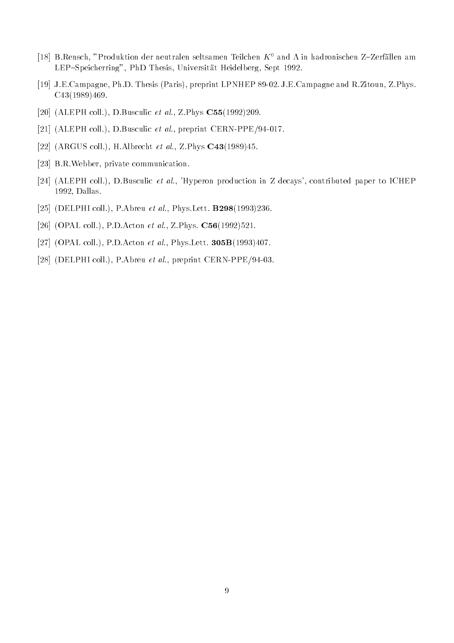- [18] B.Rensch, "Produktion der neutralen seltsamen Teilchen  $K^0$  and  $\Lambda$  in hadronischen Z-Zerfällen am LEP-Speicherring", PhD Thesis, Universität Heidelberg, Sept 1992.
- [19] J.E.Campagne, Ph.D. Thesis (Paris), preprint LPNHEP 89-02. J.E.Campagne and R.Zitoun, Z.Phys. C43(1989)469.
- [20] (ALEPH coll.), D.Busculic et al., Z.Phys C55(1992)209.
- [21] (ALEPH coll.), D.Busculic et al., preprint CERN-PPE/94-017.
- [22] (ARGUS coll.), H.Albrecht et al., Z.Phys C43(1989)45.
- [23] B.R.Webber, private communication.
- [24] (ALEPH coll.), D.Busculic et al., 'Hyperon production in Z decays', contributed paper to ICHEP 1992, Dallas.
- [25] (DELPHI coll.), P.Abreu et al., Phys.Lett. **B298**(1993)236.
- [26] (OPAL coll.), P.D.Acton et al., Z.Phys. C56(1992)521.
- [27] (OPAL coll.), P.D.Acton et al., Phys.Lett. 305B(1993)407.
- [28] (DELPHI coll.), P.Abreu et al., preprint CERN-PPE/94-03.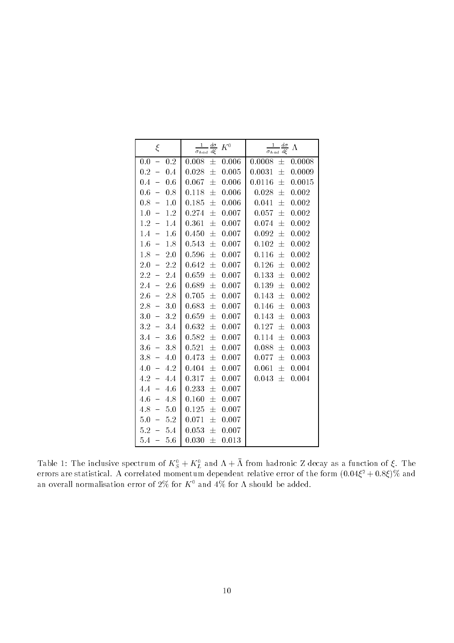| $\xi$                                  | $\frac{d\sigma}{d\,\xi}$<br>$\frac{1}{\sigma_{had}}$<br>$K^0$ | $rac{1}{\sigma_{had}}\frac{d\sigma}{d\xi}$<br>$\Lambda$ |  |
|----------------------------------------|---------------------------------------------------------------|---------------------------------------------------------|--|
| 0.2                                    | 0.008                                                         | 0.0008                                                  |  |
| 0.0                                    | 士                                                             | 士                                                       |  |
| $\equiv$                               | 0.006                                                         | 0.0008                                                  |  |
| 0.2                                    | 0.028                                                         | 0.0031                                                  |  |
| 0.4                                    | 0.005                                                         | $\pm$                                                   |  |
| $\equiv$                               | 士                                                             | 0.0009                                                  |  |
| 0.4                                    | 0.067                                                         | 0.0116                                                  |  |
| 0.6                                    | $\pm$                                                         | 士                                                       |  |
| $\equiv$                               | 0.006                                                         | 0.0015                                                  |  |
| 0.6                                    | 0.118                                                         | 0.028                                                   |  |
| 0.8                                    | 0.006                                                         | $\pm$                                                   |  |
| -                                      | 士                                                             | 0.002                                                   |  |
| 0.8                                    | 0.185                                                         | 士                                                       |  |
| 1.0                                    | 士                                                             | 0.041                                                   |  |
| $\overline{\phantom{0}}$               | 0.006                                                         | 0.002                                                   |  |
| 1.0                                    | 0.274                                                         | 0.057                                                   |  |
| 1.2                                    | 0.007                                                         | 士                                                       |  |
| $\equiv$                               | 士                                                             | 0.002                                                   |  |
| 1.2                                    | 0.361                                                         | $\pm$                                                   |  |
| $\equiv$                               | $\pm$                                                         | 0.002                                                   |  |
| 1.4                                    | 0.007                                                         | 0.074                                                   |  |
| $1.4\,$                                | 0.450                                                         | 0.092                                                   |  |
| $\equiv$                               | 0.007                                                         | $\pm$                                                   |  |
| 1.6                                    | 士                                                             | 0.002                                                   |  |
| $1.6\,$                                | $\pm$                                                         | 0.102                                                   |  |
| $\overline{\phantom{0}}$               | 0.543                                                         | 士                                                       |  |
| 1.8                                    | 0.007                                                         | 0.002                                                   |  |
| 1.8                                    | 0.596                                                         | 0.116                                                   |  |
| 2.0                                    | 士                                                             | 士                                                       |  |
| $\equiv$                               | 0.007                                                         | 0.002                                                   |  |
| 2.0                                    | $\pm$                                                         | 0.002                                                   |  |
| 2.2                                    | 0.007                                                         | 0.126                                                   |  |
| $\frac{1}{\sqrt{2}}$                   | 0.642                                                         | 士                                                       |  |
| $2.2\,$                                | 0.659                                                         | 0.133                                                   |  |
| 2.4                                    | $\pm$                                                         | $\pm$                                                   |  |
| $\equiv$                               | 0.007                                                         | 0.002                                                   |  |
| $2.6\,$                                | 0.689                                                         | 0.139                                                   |  |
| $2.4\,$                                | 士                                                             | $\pm$                                                   |  |
| $\overline{\phantom{0}}$               | 0.007                                                         | 0.002                                                   |  |
| $2.6\,$                                | 0.705                                                         | 0.143                                                   |  |
| 2.8                                    | $\pm$                                                         | $\pm$                                                   |  |
| $\equiv$                               | 0.007                                                         | 0.002                                                   |  |
| $2.8\,$                                | 0.683                                                         | 0.003                                                   |  |
| 3.0                                    | $\pm$                                                         | 0.146                                                   |  |
| $\rightarrow$                          | 0.007                                                         | 士                                                       |  |
| 3.2                                    | 0.659                                                         | 0.143                                                   |  |
| 3.0                                    | 士                                                             | 士                                                       |  |
| $\equiv$                               | 0.007                                                         | 0.003                                                   |  |
| $3.2\,$                                | 0.632                                                         | 0.127                                                   |  |
| 3.4                                    | 士                                                             | $\pm$                                                   |  |
| $\frac{1}{2}$                          | 0.007                                                         | 0.003                                                   |  |
| $3.6\,$                                | 0.582                                                         | 0.114                                                   |  |
| 3.4                                    | $\pm$                                                         | $\pm$                                                   |  |
| ÷                                      | 0.007                                                         | 0.003                                                   |  |
| 3.6                                    | 0.521                                                         | 0.088                                                   |  |
| 3.8                                    | 士                                                             | 士                                                       |  |
| $\equiv$                               | 0.007                                                         | 0.003                                                   |  |
| 3.8                                    | 0.473                                                         | 0.077                                                   |  |
| 4.0                                    | 0.007                                                         | 士                                                       |  |
| $\overline{\phantom{0}}$               | 士                                                             | 0.003                                                   |  |
| 4.0                                    | 0.404                                                         | 0.061                                                   |  |
| $\frac{1}{2}$                          | $\pm$                                                         | 0.004                                                   |  |
| 4.2                                    | 0.007                                                         | 士                                                       |  |
| 4.2                                    | 0.317                                                         | 0.043                                                   |  |
| $\overline{\phantom{0}}$               | 0.007                                                         | $\pm$                                                   |  |
| 4.4                                    | 士                                                             | 0.004                                                   |  |
| 4.4<br>4.6<br>$\overline{\phantom{0}}$ | 0.233<br>$\pm$<br>0.007                                       |                                                         |  |
| $4.6\,$<br>4.8<br>-                    | 0.160<br>0.007<br>士                                           |                                                         |  |
| 4.8<br>5.0<br>$\equiv$                 | 0.007<br>0.125<br>士                                           |                                                         |  |
| 5.0<br>5.2<br>-                        | 0.007<br>0.071<br>士                                           |                                                         |  |
| $5.2\,$<br>$5.4\,$<br>-                | 0.053<br>0.007<br>士                                           |                                                         |  |
| $5.4\,$<br>5.6<br>$\equiv$             | 0.030<br>士<br>0.013                                           |                                                         |  |

Table 1: The inclusive spectrum of  $K_{\tilde{S}} + K_{\tilde{L}}$  and  $\Lambda + \Lambda$  from hadronic Z decay as a function of  $\xi$ . The errors are statistical. A correlated momentum dependent relative error of the form (0:04 <sup>2</sup> + 0:8)% and an overall normalisation error of 2% for  $K^0$  and 4% for  $\Lambda$  should be added.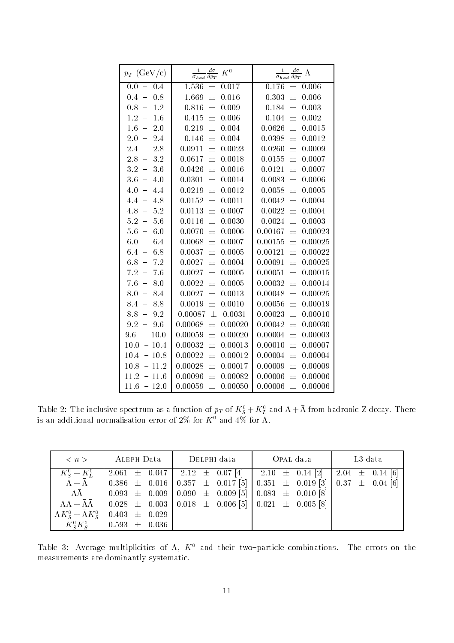| $p_T$ (GeV/c)            | $\frac{1}{\sigma_{had}}\frac{d\sigma}{dp_T}$ $K^0$ | $\frac{1}{\sigma_{had}}\frac{d\sigma}{dp_T}$ $\Lambda$ |  |  |
|--------------------------|----------------------------------------------------|--------------------------------------------------------|--|--|
| $-0.4$<br>0.0            | 1.536<br>$\pm$<br>0.017                            | 0.176<br>$\pm$<br>0.006                                |  |  |
| 0.4                      | $\pm$                                              | 0.303                                                  |  |  |
| 0.8                      | 1.669                                              | $\pm$                                                  |  |  |
| $\equiv$                 | 0.016                                              | 0.006                                                  |  |  |
| 0.8                      | $\pm$                                              | 0.184                                                  |  |  |
| $1.2\,$                  | 0.009                                              | 士                                                      |  |  |
| $\equiv$                 | 0.816                                              | 0.003                                                  |  |  |
| 1.2                      | 0.006                                              | 0.104                                                  |  |  |
| 1.6                      | 0.415                                              | 士                                                      |  |  |
| $\equiv$                 | 士                                                  | 0.002                                                  |  |  |
| $1.6\,$                  | $\pm$                                              | 士                                                      |  |  |
| $\leftarrow$             | 0.219                                              | 0.0626                                                 |  |  |
| 2.0                      | 0.004                                              | 0.0015                                                 |  |  |
| $2\, .0$                 | $\pm$                                              | $\pm$                                                  |  |  |
| 2.4                      | 0.004                                              | 0.0398                                                 |  |  |
| $\overline{\phantom{0}}$ | 0.146                                              | 0.0012                                                 |  |  |
| 2.4<br>$-2.8$            | 0.0023<br>0.0911<br>士                              | 0.0009<br>0.0260<br>士                                  |  |  |
| $2.8\,$                  | 士                                                  | 0.0155                                                 |  |  |
| $\equiv$                 | 0.0617                                             | 士                                                      |  |  |
| 3.2                      | 0.0018                                             | 0.0007                                                 |  |  |
| $3.2\,$                  | 0.0426                                             | 0.0121                                                 |  |  |
| 3.6                      | $\pm$                                              | $\pm$                                                  |  |  |
| $\equiv$                 | 0.0016                                             | 0.0007                                                 |  |  |
| $3.6\,$                  | 0.0301                                             | 0.0083                                                 |  |  |
| $\equiv$                 | 0.0014                                             | 士                                                      |  |  |
| 4.0                      | 士                                                  | 0.0006                                                 |  |  |
| $4.0\,$                  | 0.0219                                             | 士                                                      |  |  |
| $\rightarrow$            | $\pm$                                              | 0.0058                                                 |  |  |
| 4.4                      | 0.0012                                             | 0.0005                                                 |  |  |
| 4.4                      | 0.0152                                             | 0.0042                                                 |  |  |
| 4.8                      | $\pm$                                              | $\pm$                                                  |  |  |
| $\overline{\phantom{0}}$ | 0.0011                                             | 0.0004                                                 |  |  |
| $4.8\,$<br>$-5.2$        | 0.0007<br>0.0113<br>$\pm$                          | 0.0004<br>0.0022<br>士                                  |  |  |
| $5.2 -$<br>5.6           | $\pm$<br>0.0116<br>0.0030                          | $\pm$<br>0.0024<br>0.0003                              |  |  |
| $5.6\,$                  | 0.0070                                             | 0.00167                                                |  |  |
| 6.0                      | $\pm$                                              | 士                                                      |  |  |
| $\equiv$                 | 0.0006                                             | 0.00023                                                |  |  |
| $6.0\,$                  | 0.0068                                             | 0.00155                                                |  |  |
| 6.4                      | 士                                                  | 0.00025                                                |  |  |
| $\frac{1}{2}$            | 0.0007                                             | 士                                                      |  |  |
| 6.8                      | 0.0037                                             | 士                                                      |  |  |
| 6.4                      | 士                                                  | 0.00121                                                |  |  |
| $\leftarrow$             | 0.0005                                             | 0.00022                                                |  |  |
| 6.8                      | $\pm$                                              | 士                                                      |  |  |
| 7.2                      | 0.0027                                             | 0.00091                                                |  |  |
| $\equiv$                 | 0.0004                                             | 0.00025                                                |  |  |
| 7.2<br>$-7.6$            | $\pm$<br>0.0005<br>0.0027                          | 0.00051<br>士<br>0.00015                                |  |  |
| 7.6                      | 士                                                  | 士                                                      |  |  |
| $\rightarrow$            | 0.0005                                             | 0.00032                                                |  |  |
| 8.0                      | 0.0022                                             | 0.00014                                                |  |  |
| 8.0                      | 0.0027                                             | 0.00048                                                |  |  |
| 8.4                      | 士                                                  | 士                                                      |  |  |
| $\overline{\phantom{0}}$ | 0.0013                                             | 0.00025                                                |  |  |
| 8.4                      | 0.0019                                             | 0.00056                                                |  |  |
| 8.8                      | $\pm$                                              | 士                                                      |  |  |
| $\equiv$                 | 0.0010                                             | 0.00019                                                |  |  |
| 8.8                      | 0.00087                                            | 士                                                      |  |  |
| $\frac{1}{2}$            | 士                                                  | 0.00023                                                |  |  |
| 9.2                      | 0.0031                                             | 0.00010                                                |  |  |
| 9.2                      | 0.00068                                            | 0.00042                                                |  |  |
| 9.6                      | 0.00020                                            | $\pm$                                                  |  |  |
| $\qquad \qquad -$        | 士                                                  | 0.00030                                                |  |  |
| $9.6\,$                  | 0.00059                                            | 0.00004                                                |  |  |
| 10.0                     | 0.00020                                            | 士                                                      |  |  |
| $\frac{1}{2}$            | 士                                                  | 0.00003                                                |  |  |
| 10.0<br>$-10.4$          | 士<br>0.00013<br>0.00032                            | 士<br>0.00010<br>0.00007                                |  |  |
| 10.4<br>$-10.8$          | 0.00022<br>$\pm$<br>0.00012                        | 0.00004<br>士<br>0.00004                                |  |  |
| 10.8<br>$-11.2$          | 0.00028<br>士<br>0.00017                            | 0.00009<br>士<br>0.00009                                |  |  |
| 11.2<br>$-11.6$          | $\pm$<br>0.00096<br>0.00082                        | 0.00006<br>士<br>0.00006                                |  |  |
| $-12.0$<br>11.6          | 0.00059<br>$\pm$<br>0.00050                        | 0.00006<br>$\pm$<br>0.00006                            |  |  |

Table 2: The inclusive spectrum as a function of  $p_T$  of  $K_{\tilde{S}} + K_{\tilde{L}}$  and  $\Lambda + \Lambda$  from hadronic Z decay. There is an additional normalisation error of 2% for  $K^-$  and 4% for  $\Lambda_+$ 

| $\langle n \rangle$                   | ALEPH Data        | DELPHI data | OPAL data                                                                                                                              | L3 data |  |
|---------------------------------------|-------------------|-------------|----------------------------------------------------------------------------------------------------------------------------------------|---------|--|
| $K_{S}^{0} + K_{L}^{0}$               |                   |             | 2.061 $\pm$ 0.047   2.12 $\pm$ 0.07 [4]   2.10 $\pm$ 0.14 [2]   2.04 $\pm$ 0.14 [6]                                                    |         |  |
| $\Lambda + \bar{\Lambda}$             |                   |             | $\begin{array}{ccccccccc} 0.386 & \pm & 0.016 & 0.357 & \pm & 0.017 & 5 & 0.351 & \pm & 0.019 & 3 & 0.37 & \pm & 0.04 & 6 \end{array}$ |         |  |
| $\Lambda\bar{\Lambda}$                |                   |             | $0.093 \pm 0.009 \pm 0.090 \pm 0.009 \times 0.083 \pm 0.010 \times 0.010$                                                              |         |  |
|                                       |                   |             | $\Lambda\Lambda + \bar{\Lambda}\bar{\Lambda}$   0.028 $\pm$ 0.003   0.018 $\pm$ 0.006 [5]   0.021 $\pm$ 0.005 [8]                      |         |  |
| $\Lambda K_S^0 + \bar{\Lambda} K_S^0$ | $0.403 \pm 0.029$ |             |                                                                                                                                        |         |  |
| $K_{\rm s}^{\rm 0}K_{\rm s}^{\rm 0}$  | $0.593 \pm 0.036$ |             |                                                                                                                                        |         |  |

Table 3: Average multiplicities of  $\Lambda$ ,  $K^0$  and their two-particle combinations. The errors on the measurements are dominantly systematic.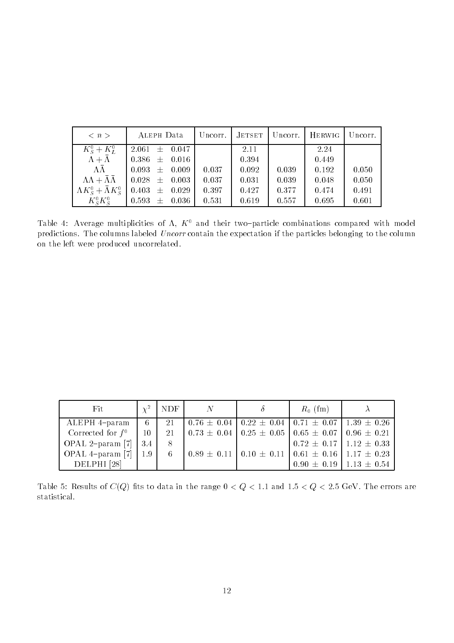| $\langle n \rangle$                               | ALEPH Data                                                        |       |       |       | Uncorr.   JETSET   Uncorr.   HERWIG | Uncorr. |
|---------------------------------------------------|-------------------------------------------------------------------|-------|-------|-------|-------------------------------------|---------|
| $K_{S}^{0} + K_{L}^{0}$                           | $2.061 \pm 0.047$                                                 |       | 2.11  |       | 2.24                                |         |
| $\Lambda + \bar{\Lambda}$                         | $0.386 \pm 0.016$                                                 |       | 0.394 |       | 0.449                               |         |
| $\Lambda\bar{\Lambda}$                            | $0.093 \pm 0.009$                                                 | 0.037 | 0.092 | 0.039 | 0.192                               | 0.050   |
|                                                   | $\Lambda\Lambda + \bar{\Lambda}\bar{\Lambda}$   0.028 $\pm$ 0.003 | 0.037 | 0.031 | 0.039 | 0.048                               | 0.050   |
| $\Lambda K_{\rm s}^0 + \bar{\Lambda} K_{\rm s}^0$ | $0.403 \pm 0.029$                                                 | 0.397 | 0.427 | 0.377 | 0.474                               | 0.491   |
| $K_{\rm s}^{\rm 0}K_{\rm s}^{\rm 0}$              | $0.593 \pm 0.036$                                                 | 0.531 | 0.619 | 0.557 | 0.695                               | 0.601   |

Table 4: Average multiplicities of  $\Lambda$ ,  $K^0$  and their two-particle combinations compared with model predictions. The columns labeled Uncorr contain the expectation if the particles belonging to the column on the left were produced uncorrelated.

| Fit                    | $\chi^2$ | <b>NDF</b> | - N |                                                                                                 | $R_0$ (fm)                        |  |
|------------------------|----------|------------|-----|-------------------------------------------------------------------------------------------------|-----------------------------------|--|
| ALEPH 4-param          | - 6 -    | 21         |     | $\vert 0.76 \pm 0.04 \vert 0.22 \pm 0.04 \vert 0.71 \pm 0.07 \vert 1.39 \pm 0.26$               |                                   |  |
| Corrected for $f^0$    | 10       | 21         |     | $\vert$ 0.73 $\pm$ 0.04 $\vert$ 0.25 $\pm$ 0.05 $\vert$ 0.65 $\pm$ 0.07 $\vert$ 0.96 $\pm$ 0.21 |                                   |  |
| OPAL 2-param [7]       | 3.4      | -8         |     |                                                                                                 | $0.72 \pm 0.17$   $1.12 \pm 0.33$ |  |
| OPAL 4-param $[7]$     | 1.9      | 6          |     | $\vert 0.89 \pm 0.11 \vert 0.10 \pm 0.11 \vert 0.61 \pm 0.16 \vert 1.17 \pm 0.23$               |                                   |  |
| DELPHI <sup>[28]</sup> |          |            |     |                                                                                                 | $0.90 \pm 0.19$   1.13 $\pm$ 0.54 |  |

Table 5: Results of  $C(Q)$  fits to data in the range  $0 < Q < 1.1$  and  $1.5 < Q < 2.5$  GeV. The errors are statistical.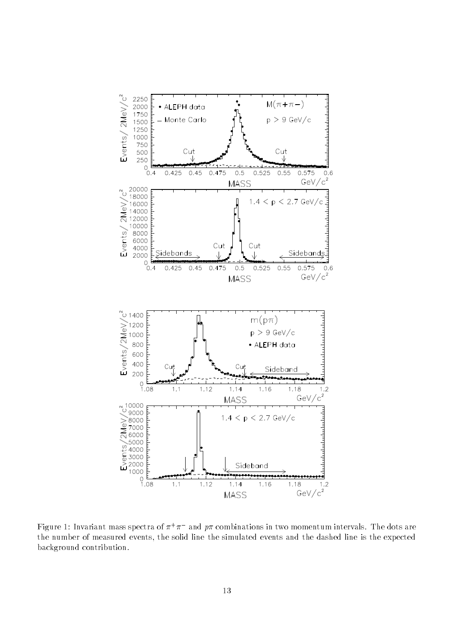

Figure 1: Invariant mass spectra of  $\pi$  +  $\pi$  - and  $p\pi$  combinations in two momentum intervals. The dots are the number of measured events, the solid line the simulated events and the dashed line is the expected background contribution.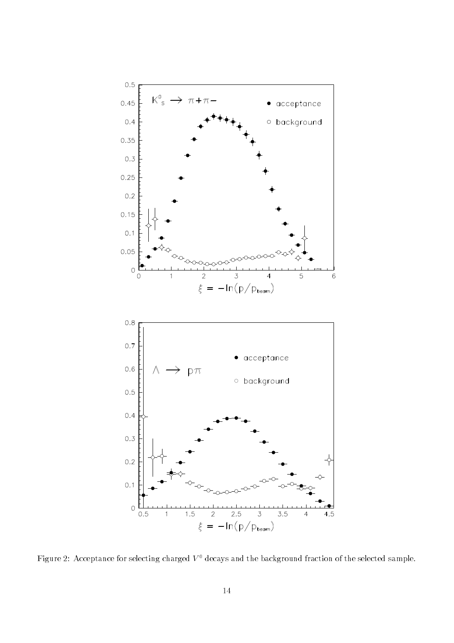

Figure 2: Acceptance for selecting charged  $V^0$  decays and the background fraction of the selected sample.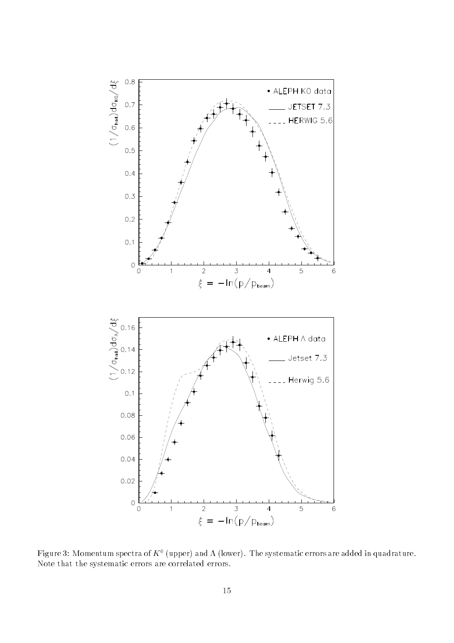

Figure 3: Momentum spectra of  $K^0$  (upper) and  $\Lambda$  (lower). The systematic errors are added in quadrature. Note that the systematic errors are correlated errors.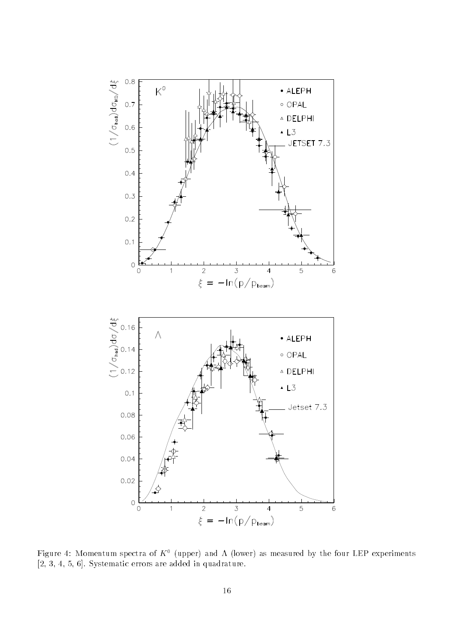

Figure 4: Momentum spectra of  $K^0$  (upper) and  $\Lambda$  (lower) as measured by the four LEP experiments [2, 3, 4, 5, 6]. Systematic errors are added in quadrature.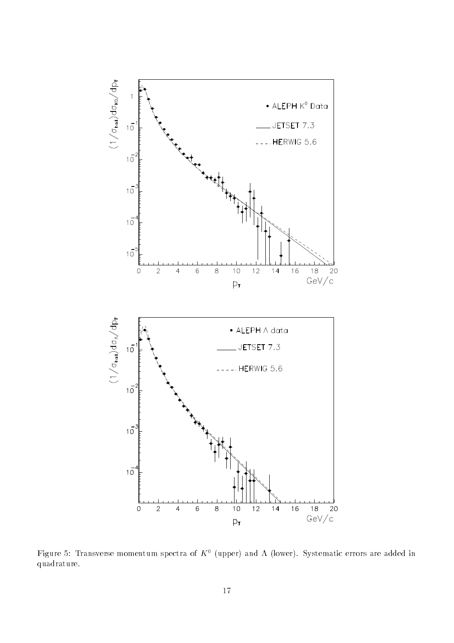

Figure 5: Transverse momentum spectra of  $K^0$  (upper) and  $\Lambda$  (lower). Systematic errors are added in quadrature.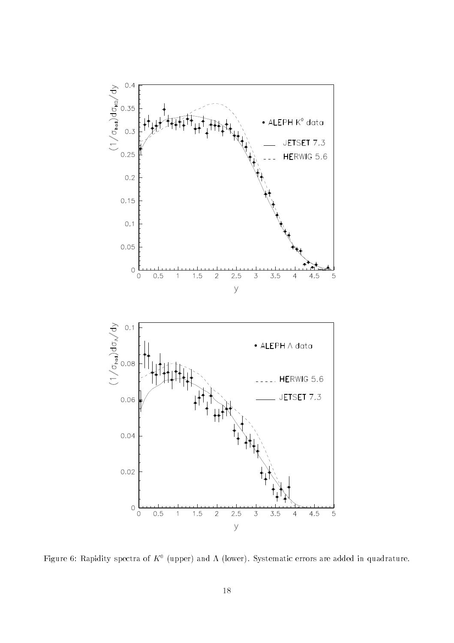

Figure 6: Rapidity spectra of  $K^0$  (upper) and  $\Lambda$  (lower). Systematic errors are added in quadrature.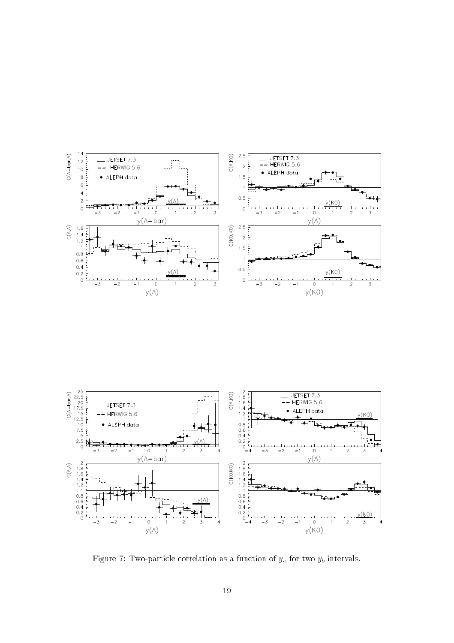



Figure 7: Two-particle correlation as a function of  $y_a$  for two  $y_b$  intervals.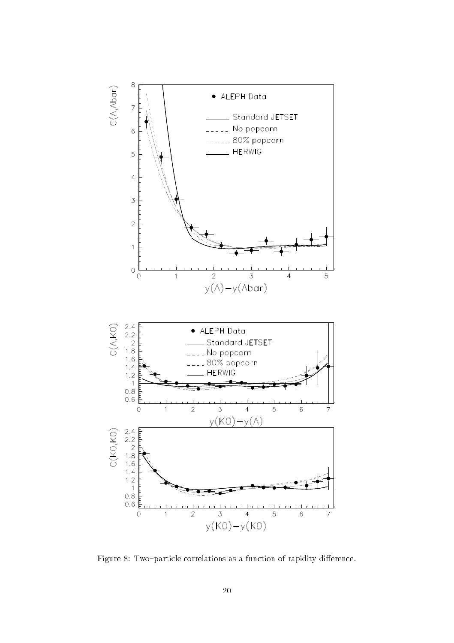

Figure 8: Two-particle correlations as a function of rapidity difference.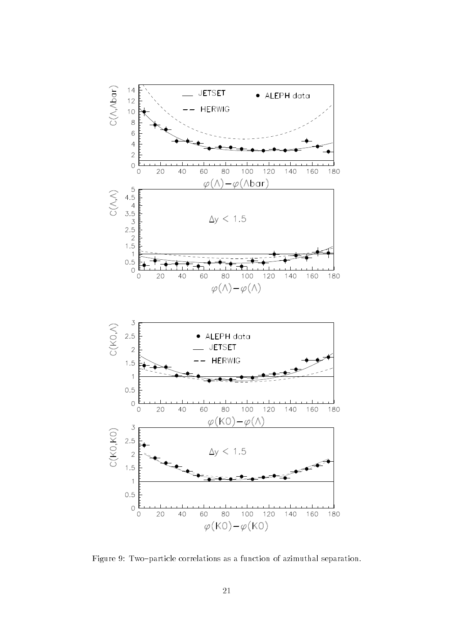

Figure 9: Two-particle correlations as a function of azimuthal separation.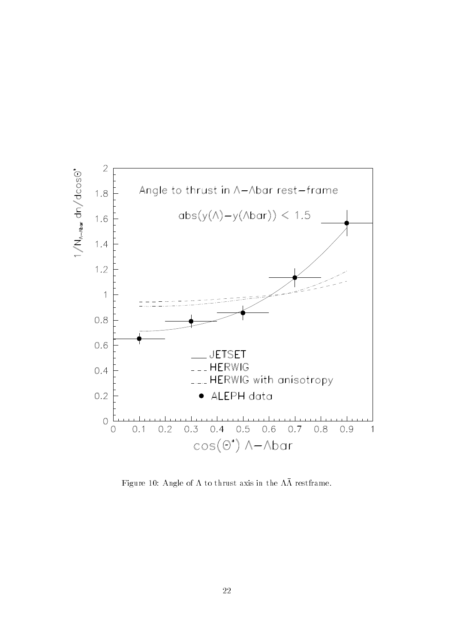

Figure 10: Angle of  $\Lambda$  to thrust axis in the  $\Lambda\bar{\Lambda}$  restframe.